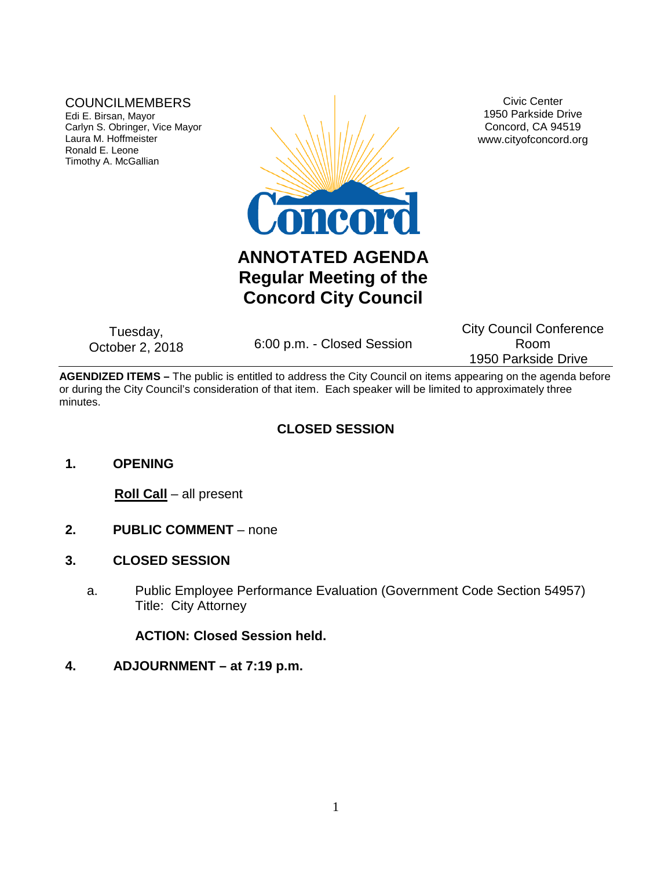### COUNCILMEMBERS

Edi E. Birsan, Mayor Carlyn S. Obringer, Vice Mayor Laura M. Hoffmeister Ronald E. Leone Timothy A. McGallian



Civic Center 1950 Parkside Drive Concord, CA 94519 www.cityofconcord.org

# **ANNOTATED AGENDA Regular Meeting of the Concord City Council**

Tuesday,<br>October 2, 2018

6:00 p.m. - Closed Session

City Council Conference Room 1950 Parkside Drive

**AGENDIZED ITEMS –** The public is entitled to address the City Council on items appearing on the agenda before or during the City Council's consideration of that item. Each speaker will be limited to approximately three minutes.

## **CLOSED SESSION**

## **1. OPENING**

**Roll Call** – all present

- **2. PUBLIC COMMENT** none
- **3. CLOSED SESSION**
	- a. Public Employee Performance Evaluation (Government Code Section 54957) Title: City Attorney

**ACTION: Closed Session held.** 

### **4. ADJOURNMENT – at 7:19 p.m.**